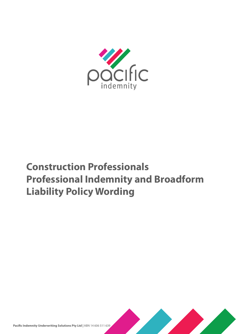

# **Construction Professionals Professional Indemnity and Broadform Liability Policy Wording**

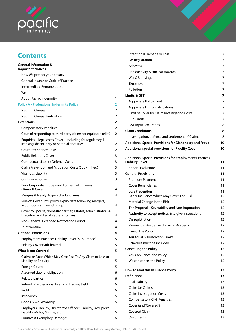

# **Contents**

| <b>General Information &amp;</b><br><b>Important Notices</b>                                                | 1 |
|-------------------------------------------------------------------------------------------------------------|---|
| How We protect your privacy                                                                                 | 1 |
| General Insurance Code of Practice                                                                          | 1 |
| Intermediary Remuneration                                                                                   | 1 |
| We                                                                                                          | 1 |
| About Pacific Indemnity                                                                                     | 1 |
| <b>Policy A - Professional Indemnity Policy</b>                                                             | 2 |
| <b>Insuring Clauses</b>                                                                                     | 2 |
| Insuring Clause clarifications                                                                              | 2 |
| <b>Extensions</b>                                                                                           | 2 |
| <b>Compensatory Penalties</b>                                                                               | 2 |
| Costs of responding to third party claims for equitable relief.                                             | 2 |
| Enquiries - legal costs Cover - including for regulatory, I<br>icensing, disciplinary or coronial enquiries | 2 |
| <b>Court Attendance Costs</b>                                                                               | 2 |
| <b>Public Relations Cover</b>                                                                               | 3 |
| <b>Contractual Liability Defence Costs</b>                                                                  | 3 |
| Claim Prevention and Mitigation Costs (Sub-limited)                                                         | 3 |
| <b>Vicarious Liability</b>                                                                                  | 3 |
| <b>Continuous Cover</b>                                                                                     | 3 |
| Prior Corporate Entities and Former Subsidiaries                                                            |   |
| - Run-off Cover                                                                                             | 4 |
| Mergers & Newly Acquired Subsidiaries                                                                       | 4 |
| Run-off Cover until policy expiry date following mergers,<br>acquisitions and winding up                    | 4 |
| Cover to Spouse, domestic partner, Estates, Administrators &<br><b>Executors and Legal Representatives</b>  | 4 |
| Non-Renewal Extended Notification Period                                                                    | 4 |
| Joint Venture                                                                                               | 4 |
| <b>Optional Extensions</b>                                                                                  | 4 |
| Employment Practices Liability Cover (Sub-limited)                                                          | 5 |
| Fidelity Cover (Sub-limited)                                                                                | 5 |
| <b>What is not Covered</b>                                                                                  | 5 |
| Claims or Facts Which May Give Rise To Any Claim or Loss or<br>Liability or Enquiry                         | 5 |
| <b>Foreign Courts</b>                                                                                       | 5 |
| Assumed duty or obligation                                                                                  | 6 |
| <b>Related parties</b>                                                                                      | 6 |
| Refund of Professional Fees and Trading Debts                                                               | 6 |
| Profit                                                                                                      | 6 |
| Insolvency                                                                                                  | 6 |
| Goods & Workmanship                                                                                         | 6 |
| Employers Liability, Directors' & Officers' Liability, Occupier's<br>Liability, Motor, Marine, etc          | 6 |
| Punitive & Exemplary Damages                                                                                | 6 |

| Intentional Damage or Loss                                                              | 7        |
|-----------------------------------------------------------------------------------------|----------|
| De-Registration                                                                         | 7        |
| Asbestos                                                                                | 7        |
| Radioactivity & Nuclear Hazards                                                         | 7        |
| War & Uprisings                                                                         | 7        |
| Terrorism                                                                               | 7        |
| Pollution                                                                               | 7        |
| Limits & GST                                                                            | 7        |
| Aggregate Policy Limit                                                                  | 7        |
| Aggregate Limit qualifications                                                          | 7        |
| Limit of Cover for Claim Investigation Costs                                            | 7        |
| Sub-Limits                                                                              | 7        |
| <b>GST Input Tax Credits</b>                                                            | 8        |
| <b>Claim Conditions</b>                                                                 | 8        |
| Investigation, defence and settlement of Claims                                         | 8        |
| <b>Additional Special Provisions for Dishonesty and Fraud</b>                           | 10       |
| <b>Additional special provisions for Fidelity Cover</b>                                 | 10       |
|                                                                                         |          |
| <b>Additional Special Provisions for Employment Practices</b><br><b>Liability Cover</b> | 11       |
| <b>Special Exclusions</b>                                                               | 11       |
| <b>General Provisions</b>                                                               | 11       |
| Premium Payment                                                                         | 11       |
| <b>Cover Beneficiaries</b>                                                              | 11       |
| Loss Prevention<br>Other Insurance Which May Cover The Risk                             | 11<br>12 |
| Material Change in the Risk                                                             | 12       |
| The Proposal - Severability and Non-imputation                                          | 12       |
| Authority to accept notices & to give instructions                                      | 12       |
| De-registration                                                                         | 12       |
| Payment in Australian dollars in Australia                                              | 12       |
| Law of the Policy                                                                       | 12       |
| <b>Territorial &amp; Jurisdiction Limits</b>                                            | 12       |
| Schedule must be included                                                               | 12       |
| <b>Cancelling the Policy</b>                                                            | 12       |
| You Can Cancel the Policy                                                               | 12       |
| We can cancel the Policy                                                                | 12       |
| How to read this Insurance Policy                                                       | 13       |
| <b>Definitions</b>                                                                      | 13       |
| Civil Liability                                                                         | 13       |
| Claim (or Claims)                                                                       | 13       |
| <b>Claim Investigation Costs</b>                                                        | 13       |
| <b>Compensatory Civil Penalties</b>                                                     | 13       |
| Cover (and 'Covered')                                                                   | 13       |
| <b>Covered Claim</b>                                                                    | 13       |
| Documents                                                                               | 13       |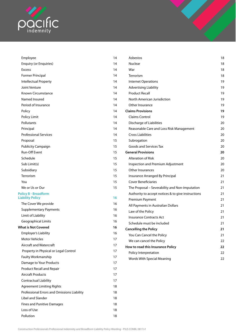

| Employee                                    | 14 | Asbestos                                           | 18             |
|---------------------------------------------|----|----------------------------------------------------|----------------|
| <b>Enquiry (or Enquiries)</b>               | 14 | Nuclear                                            | 18             |
| <b>Excess</b>                               | 14 | War                                                | 18             |
| Former Principal                            | 14 | Terrorism                                          | 18             |
| Intellectual Property                       | 14 | <b>Internet Operations</b>                         | 19             |
| Joint Venture                               | 14 | <b>Advertising Liability</b>                       | 19             |
| Known Circumstance                          | 14 | <b>Product Recall</b>                              | 19             |
| Named Insured                               | 14 | North American Jurisdiction                        | 19             |
| Period of Insurance                         | 14 | Other Insurance                                    | 19             |
| Policy                                      | 14 | <b>Claims Provisions</b>                           | 19             |
| Policy Limit                                | 14 | <b>Claims Control</b>                              | 1 <sup>c</sup> |
| Pollutants                                  | 14 | Discharge of Liabilities                           | 20             |
| Principal                                   | 14 | Reasonable Care and Loss Risk Management           | 20             |
| <b>Professional Services</b>                | 14 | <b>Cross Liabilities</b>                           | 20             |
| Proposal                                    | 15 | Subrogation                                        | 20             |
| Publicity Campaign                          | 15 | Goods and Services Tax                             | 20             |
| Run-Off Event                               | 15 | <b>General Provisions</b>                          | 20             |
| Schedule                                    | 15 | Alteration of Risk                                 | 20             |
| Sub Limit(s)                                | 15 | Inspection and Premium Adjustment                  | 20             |
| Subsidiary                                  | 15 | Other Insurances                                   | 20             |
| Terrorism                                   | 15 | Insurance Arranged By Principal                    | 21             |
| You                                         | 15 | <b>Cover Beneficiaries</b>                         | 21             |
| We or Us or Our                             | 15 | The Proposal - Severability and Non-imputation     | 21             |
| <b>Policy B - Broadform</b>                 |    | Authority to accept notices & to give instructions | 21             |
| <b>Liability Policy</b>                     | 16 | Premium Payment                                    | 21             |
| The Cover We provide                        | 16 | All Payments in Australian Dollars                 | 21             |
| <b>Supplementary Payments</b>               | 16 | Law of the Policy                                  | 21             |
| Limit of Liability                          | 16 | <b>Insurance Contracts Act</b>                     | 21             |
| <b>Geographical Limits</b>                  | 16 | Schedule must be included                          | 21             |
| <b>What is Not Covered</b>                  | 16 | <b>Cancelling the Policy</b>                       | 21             |
| Employer's Liability                        | 16 | You Can Cancel the Policy                          | 21             |
| <b>Motor Vehicles</b>                       | 17 | We can cancel the Policy                           | 22             |
| Aircraft and Watercraft                     | 17 | How to read this Insurance Policy                  | 22             |
| Property in Physical or Legal Control       | 17 | Policy Interpretation                              | 22             |
| Faulty Workmanship                          | 17 | Words With Special Meaning                         | 22             |
| Damage to Your Products                     | 17 |                                                    |                |
| Product Recall and Repair                   | 17 |                                                    |                |
| <b>Aircraft Products</b>                    | 17 |                                                    |                |
| <b>Contractual Liability</b>                | 17 |                                                    |                |
| <b>Agreement Limiting Rights</b>            | 18 |                                                    |                |
| Professional Errors and Omissions Liability | 18 |                                                    |                |
| Libel and Slander                           | 18 |                                                    |                |
| <b>Fines and Punitive Damages</b>           | 18 |                                                    |                |
| Loss of Use                                 | 18 |                                                    |                |
| Pollution                                   | 18 |                                                    |                |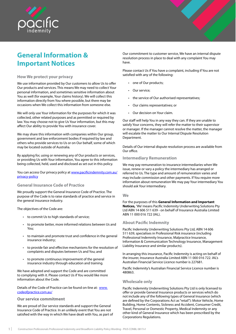<span id="page-3-0"></span>

# **General Information & Important Notices**

### **How We protect your privacy**

We use information provided by Our customers to allow Us to offer Our products and services. This means We may need to collect Your personal information, and sometimes sensitive information about You as well (for example, Your claims history). We will collect this information directly from You where possible, but there may be occasions when We collect this information from someone else.

We will only use Your information for the purposes for which it was collected, other related purposes and as permitted or required by law. You may choose not to give Us Your information, but this may affect Our ability to provide You with insurance cover.

We may share this information with companies within Our group, government and law enforcement bodies if required by law and others who provide services to Us or on Our behalf, some of which may be located outside of Australia.

By applying for, using or renewing any of Our products or services, or providing Us with Your information, You agree to this information being collected, held, used and disclosed as set out in this policy.

You can access Our privacy policy at www.pacificindemnity.com.au/ privacy-policy

# **General Insurance Code of Practice**

We proudly support the General Insurance Code of Practice. The purpose of the Code is to raise standards of practice and service in the general insurance industry.

The objectives of the Code are:

- to commit Us to high standards of service;
- to promote better, more informed relations between Us and You;
- to maintain and promote trust and confidence in the general insurance industry;
- to provide fair and effective mechanisms for the resolution of complaints and disputes between Us and You; and
- to promote continuous improvement of the general insurance industry through education and training.

We have adopted and support the Code and are committed to complying with it. Please contact Us if You would like more information about the Code.

Details of the Code of Practice can be found on-line at: [www.](http://www.codeofpractice.com.au/) [codeofpractice.com.au/](http://www.codeofpractice.com.au/)

#### **Our service commitment**

We are proud of Our service standards and support the General Insurance Code of Practice. In an unlikely event that You are not satisfied with the way in which We have dealt with You, as part of Our commitment to customer service, We have an internal dispute resolution process in place to deal with any complaint You may have.

Please contact Us if You have a complaint, including if You are not satisfied with any of the following:

- one of Our products;
- Our service;
- the service of Our authorised representatives;
- Our claims representatives; or
- Our decision on Your claim.

Our staff will help You in any way they can. If they are unable to satisfy Your concerns, they will refer the matter to their supervisor or manager. If the manager cannot resolve the matter, the manager will escalate the matter to Our Internal Dispute Resolution Department.

Details of Our internal dispute resolution process are available from Our office.

### **Intermediary Remuneration**

We may pay remuneration to insurance intermediaries when We issue, renew or vary a policy the intermediary has arranged or referred to Us. The type and amount of remuneration varies and may include commission and other payments. If You require more information about remuneration We may pay Your intermediary You should ask Your intermediary.

#### **We**

For the purposes of this **General Information and Important Notices,** 'We' means Pacific Indemnity Underwriting Solutions Pty Ltd ABN 14 606 511 639 - on behalf of Insurance Australia Limited ABN 11 000 016 722 (IAL).

### **About Pacific Indemnity**

Pacific Indemnity Underwriting Solutions Pty Ltd, ABN 14 606 511 639, specialises in Professional Risk insurance (including Professional Indemnity Insurance, Malpractice Insurance, Information & Communication Technology Insurance, Management Liability Insurance and similar products).

In arranging this insurance, Pacific Indemnity is acting on behalf of the insurer, Insurance Australia Limited ABN 11 000 016 722. IAL's Australian Financial Service Licence number is 227681.

Pacific Indemnity's Australian Financial Service Licence number is 480863.

### **Wholesale only**

Pacific Indemnity Underwriting Solutions Pty Ltd is only licensed to offer or provide General Insurance products or services which do not include any of the following types of General Insurance (which are defined by the Corporations Act as "retail"): Motor Vehicle, Home Building, Home Contents, Sickness and Accident, Consumer Credit, Travel, Personal or Domestic Property, Medical Indemnity or any other kind of General Insurance which has been prescribed by the Corporations Regulations.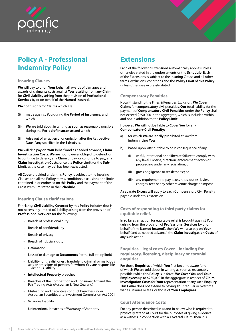<span id="page-4-0"></span>



# **Policy A - Professional Indemnity Policy**

### **Insuring Clauses**

**We** will pay to or on **Your** behalf all awards of damages and awards of claimants costs against **You** resulting from any **Claim** for **Civil Liability** arising from the provision of **Professional Services** by or on behalf of the **Named Insured.**

**We** do this only for **Claims** which are

- (i) made against **You** during the **Period of Insurance;** and which
- (ii) **We** are told about in writing as soon as reasonably possible during the **Period of Insurance**; and which
- (iii) Arise out of an act error or omission after the Retroactive Date if any specified in the **Schedule**.

**We** will also pay on **Your** behalf (and as needed advance) **Claim Investigation Costs**. **We** are not however obliged to defend, or to continue to defend, any **Claim** or pay, or continue to pay, any **Claim Investigation Costs**, once the **Policy Limit** (or the **Sub-Limit**, as the case may be) has been exhausted.

All **Cover** provided under this **Policy** is subject to the Insuring Clauses and all the **Policy** terms, conditions, exclusions and limits contained in or endorsed on this **Policy** and the payment of the Gross Premium stated in the **Schedule**.

### **Insuring Clause clarifications**

For clarity, **Civil Liability Covered** by this **Policy** includes (but is not necessarily limited to) liability arising from the provision of **Professional Services** for the following:

- Breach of professional duty
- Breach of confidentiality
- Breach of privacy
- Breach of fiduciary duty
- Defamation
- Loss of or damage to **Documents** (to the full policy limit)
- Liability for the dishonest, fraudulent, criminal or malicious acts or omissions of persons for whom **You** are responsible – vicarious liability
- **• Intellectual Property** breaches
- Breaches of the Competition and Consumer Act and the Fair Trading Acts (Australian & New Zealand)
- Misleading and deceptive conduct breaches under Australian Securities and Investment Commission Act 2001
- Vicarious Liability
- Unintentional breaches of Warranty of Authority

# **Extensions**

Each of the following Extensions automatically applies unless otherwise stated in the endorsements or the **Schedule**. Each of the Extensions is subject to the Insuring Clause and all other terms, exclusions, conditions and the **Policy Limit** of this **Policy** unless otherwise expressly stated.

# **Compensatory Penalties**

Notwithstanding the Fines & Penalties Exclusion, **We Cover Claims** for compensatory civil penalties. **Our** total liability for the payment of **Compensatory Civil Penalties** under the **Policy** shall not exceed \$250,000 in the aggregate, which is included within and not in addition to the **Policy Limit**.

However, **We** will not be liable to **Cover You** for any **Compensatory Civil Penalty**:

- a) for which **We** are legally prohibited at law from indemnifying **You**;
- b) based upon, attributable to or in consequence of any:
	- (i) wilful, intentional or deliberate failure to comply with any lawful notice, direction, enforcement action or proceeding under any legislation; or
	- (ii) gross negligence or recklessness; or
	- (iii) any requirement to pay taxes, rates, duties, levies, charges, fees or any other revenue charge or impost.

A separate **Excess** will apply to each Compensatory Civil Penalty payable under this extension.

# **Costs of responding to third party claims for equitable relief.**

In so far as an action for equitable relief is brought against **You** (arising from the provision of **Professional Services** by or on behalf of the **Named Insured)**, then **We** will also pay on **Your** behalf (and as needed advance) the **Claim Investigation Costs** of any such action.

# **Enquiries – legal costs Cover – including for regulatory, licensing, disciplinary or coronial enquiries**

For those **Enquiries** of which **You** first become aware (and of which **We** are told about in writing as soon as reasonably possible) while this **Policy** is in force, **We Cover You** and **Your Employees** up to \$250,000 in the aggregate in respect of **Claim Investigation Costs** for **Your** representation at any such **Enquiry**. This **Cover** does not extend to paying **Your** regular or overtime wages, salaries or fees, or those of **Your Employees**.

### **Court Attendance Costs**

For any person described in a) and b) below who is required to physically attend at Court for the purposes of giving evidence as a witness in connection with a **Covered Claim**, then it is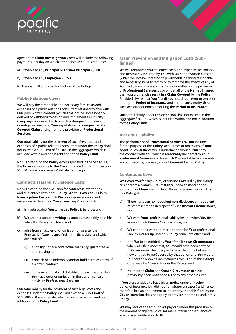<span id="page-5-0"></span>

agreed that **Claim Investigation Costs** will include the following payments, per day on which attendance in court is required:

- a) Payable to any **Principal** or **Former Principal** \$500
- b) Payable to any **Employee** \$250

No **Excess** shall apply to this Section of the **Policy**.

#### **Public Relations Cover**

**We** will pay the reasonable and necessary fees, costs and expenses of a public relations consultant retained by **You** with **Our** prior written consent (which shall not be unreasonably delayed or withheld) to design and implement a **Publicity Campaign** approved by **Us**, which is designed to prevent or mitigate damage to **Your** reputation in consequence of a **Covered Claim** arising from the provision of **Professional Services.**

**Our** total liability for the payment of such fees, costs and expenses of a public relations consultant under the **Policy** shall not exceed a Sub-Limit of \$50,000 in the aggregate, which is included within and not in addition to the **Policy Limit**.

Notwithstanding the **Policy** excess specified in the **Schedule**, the **Excess** applicable to the **Cover** provided under this Section is \$1,000 for each and every Publicity Campaign.

### **Contractual Liability Defence Costs**

Notwithstanding the exclusion for contractual warranties and guarantees within this **Policy**, **We** will **Cover Your Claim Investigation Costs** which **We** consider reasonable and necessary in defending **You** against any **Claim** which:

- a) is made against **You** while this **Policy** is in force; and
- b) **We** are told about in writing as soon as reasonably possible while this **Policy** is in force; and
- c) arise from an act, error or omission on or after the Retroactive Date as specified in the **Schedule**; and which arise out of:
	- (i) a liability under a contractual warranty, guarantee or undertaking; or
	- (ii) a breach of an indemnity and/or hold harmless term of a written contract;
	- (iii) to the extent that such liability or breach resulted from **Your** act, error or omission in the performance or provision **Professional Services**.

**Our** total liability for the payment of such legal costs and expenses under the **Policy** shall not exceed a **Sub-Limit** of \$100,000 in the aggregate, which is included within and not in addition to the **Policy Limit**.

# **Claim Prevention and Mitigation Costs (Sublimited)**

**We** will reimburse **You** the direct costs and expenses reasonably and necessarily incurred by **You** with **Our** prior written consent (which will not be unreasonably withheld) in taking reasonable and necessary steps to rectify or to mitigate the effects of any of **Your** acts, errors or omissions done or omitted in the provision of **Professional Services** by or on behalf of the **Named Insured** that would otherwise result in a **Claim Covered** by the **Policy**. Provided always that **You** first discover such act, error or omission during the **Period of Insurance** and immediately notify **Us** of such act, error or omission during the **Period of Insurance**;

**Our** total liability under this extension shall not exceed in the aggregate \$50,000, which is included within and not in addition to the **Policy Limit**.

### **Vicarious Liability**

The performance of **Professional Services** by **You** includes, for the purpose of this **Policy**, acts, errors or omissions of **Your** agents or consultants while undertaking work pursuant to the contract with **You** which is reasonably incidental to **Your Professional Services** and for which **You** are liable. Such agents and consultants, however, are not **Covered** by this **Policy**.

### **Continuous Cover**

**We Cover You** for any **Claim,** otherwise **Covered** by this **Policy**, arising from a **Known Circumstance** (notwithstanding the exclusion for **Claims** arising from Known Circumstances within this **Policy**) if:

- a) There has been no fraudulent non-disclosure or fraudulent misrepresentation in respect of such **Known Circumstance**; and
- b) **We** were **Your** professional liability insurer when **You** first knew of such **Known Circumstance**; and
- c) **We** continued without interruption to be **Your** professional liability insurer up until this **Policy** came into effect; and
- d) Had **We** been notified by **You** of the **Known Circumstance**  when **You** first knew of it, **You** would have been entitled to **Cover** under the policy in force at that time but are not now entitled to be **Covered** by that policy, and **You** would (but for the Known Circumstances exclusion of this **Policy**) otherwise be **Covered** under this **Policy**; and
- e) Neither the **Claim** nor **Known Circumstance** have previously been notified to **Us** or to any other insurer.

If **You** were entitled to have given notice under any other policy of insurance but did not (for whatever reason) and hence therefore lost an entitlement to indemnity, then this Continuous **Cover** extension does not apply to provide indemnity under this **Policy**.

**We** may reduce the amount **We** pay out under this provision by the amount of any prejudice **We** may suffer in consequence of any delayed notification to **Us**.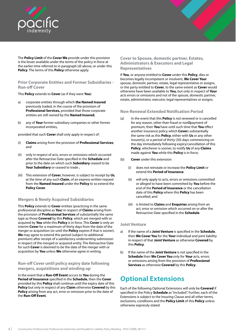<span id="page-6-0"></span>

The **Policy Limit** of the **Cover We** provide under this provision is the lesser available under the terms of the policy in force at the earlier time referred to in paragraph (d) above, or under this **Policy**. The terms of this **Policy** otherwise apply.

# **Prior Corporate Entities and Former Subsidiaries - Run-off Cover**

This **Policy** extends to **Cover** (as if they were **You**):

- a) corporate entities through which **the Named Insured**  previously traded, in the course of the provision of **Professional Services,** provided that those corporate entities are still owned by the **Named Insured.**
- b) any of **Your** former subsidiary companies or other former incorporated entities,

provided that such **Cover** shall only apply in respect of:

- (i) **Claims** arising from the provision of **Professional Services**; and
- (ii) only in respect of acts, errors or omissions which occurred after the Retroactive Date specified in the **Schedule** and prior to the date on which such **Subsidiary** ceased to be **Your Subsidiary** or ceased to trade **.**
- (iii) This extension of **Cover**, however, is subject to receipt by **Us**, at the time of any such **Claim**, of an express written request from the **Named Insured** under the **Policy** to so extend the **Policy Cover**.

### **Mergers & Newly Acquired Subsidiaries**

This **Policy** extends to **Cover** entities (practicing in the same professional discipline as **You**) in respect of **Claims** arising from the provision of **Professional Services** of substantially the same type as those **Covered** by this **Policy**, which are merged with or acquired by **You** while this **Policy** is in force. This **Cover** is only an interim **Cover** for a maximum of thirty days from the date of the merger or acquisition (or until the **Policy** expires if that is sooner). **We** may agree to extend this period (subject to additional premium) after receipt of a satisfactory underwriting submission in respect of the merged or acquired entity. The Retroactive Date for such **Cover** is deemed to be the date of the merger with or acquisition by **You** unless **We** otherwise agree in writing.

# **Run-off Cover until policy expiry date following mergers, acquisitions and winding up**

In the event that a **Run-Off Event** occurs to **You** during the **Period of Insurance** specified in the **Schedule**, then the **Cover**  provided by this **Policy** shall continue until the expiry date of this **Policy** but only in respect of any **Claim** otherwise **Covered** by this **Policy** arising from any act, error or omission prior to the date of the **Run-Off Event**.

# **Cover to Spouse, domestic partner, Estates, Administrators & Executors and Legal Representatives**

If **You**, or anyone entitled to **Cover** under this **Policy**, dies or becomes legally incompetent or insolvent, **We Cover Your** spouse, domestic partner, estate, legal representative or assigns, or the party entitled to **Cover**, to the same extent as **Cover** would otherwise have been available to **You,** but only in respect of **Your** acts errors or omissions and not of the spouse, domestic partner, estate, administrator, executor, legal representatives or assigns.

#### **Non-Renewal Extended Notification Period**

- (a) In the event that this **Policy** is not renewed or is cancelled for any reason, other than fraud or non payment of premium, then **You** have until such time that **You** effect another insurance policy which **Cover**s substantially the same risk as this **Policy**, either with **Us** or any other insurer(s), or a period of thirty (30) days commencing on the day immediately following expiry/cancellation of this **Policy**, whichever is sooner, to notify **Us** of any **Claims**  made against **You** while this **Policy** is in force;
- (b) **Cover** under this extension:
	- (i) does not reinstate or increase the **Policy Limit** or extend the **Period of Insurance**.
	- (ii) will only apply to acts, errors or omissions committed or alleged to have been committed by **You** before the end of the **Period of Insurance** or the cancellation date of this **Policy** where this **Policy** has been cancelled; and
	- (iii) is limited to **Claims** and **Enquiries** arising from an act, error or omission which occurred on or after the Retroactive Date specified in the **Schedule**.

### **Joint Venture**

- a) If the name of a **Joint Venture** is specified in the **Schedule**, then **We Cover You** for the **Your** individual and joint liability in respect of that **Joint Venture** as otherwise **Covered** by this **Policy**.
- b) If the name of the **Joint Venture** is not specified in the **Schedule** then **We Cover You** only for **Your** acts, errors or omissions arising from the provision of **Professional Services** as otherwise **Covered** by this **Policy**.

# **Optional Extensions**

Each of the following Optional Extensions will only be **Covered** if specified in the Policy **Schedule** as "included". Further, each of the Extensions is subject to the Insuring Clause and all other terms, exclusions, conditions and the **Policy Limit** of this **Policy** unless otherwise expressly stated.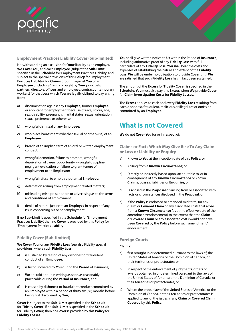<span id="page-7-0"></span>

# **Employment Practices Liability Cover (Sub-limited)**

Notwithstanding an exclusion for **Your** liability as an employer, **We Cover You**, and each **Employee** (subject the **Sub-Limit**  specified in the **Schedule** for 'Employment Practices Liability' and subject to the special provisions of this **Policy** for Employment Practices Liability), for **Claims** brought against **You** or an **Employee** (including **Claims** brought by **Your** principals, partners, directors, officers and employees, contract or temporary workers) for that **Loss** which **You** are legally obliged to pay arising from:

- a) discrimination against any **Employee**, former **Employee**  or applicant for employment because of race, colour, age, sex, disability, pregnancy, marital status, sexual orientation, sexual preference or otherwise;
- b) wrongful dismissal of any **Employee**;
- c) workplace harassment (whether sexual or otherwise) of an **Employee**;
- d) breach of an implied term of an oral or written employment contract;
- e) wrongful demotion, failure to promote, wrongful deprivation of career opportunity, wrongful discipline, negligent evaluation or failure to grant tenure of employment to an **Employee**;
- f) wrongful refusal to employ a potential **Employee**;
- g) defamation arising from employment related matters;
- h) misleading misrepresentation or advertising as to the terms and conditions of employment;
- i) denial of natural justice to an **Employee** in respect of any issue concerning his or her employment.

If no **Sub-Limit** is specified in the **Schedule** for 'Employment Practices Liability', then no **Cover** is provided by this **Policy** for 'Employment Practices Liability'.

### **Fidelity Cover (Sub-limited)**

**We Cover You** for any **Fidelity Loss** (see also Fidelity special provisions) where such **Fidelity Loss**:

- a) is sustained by reason of any dishonest or fraudulent conduct of an **Employee**;
- b) is first discovered by **You** during the **Period** of Insurance;
- c) **We** are told about in writing as soon as reasonably practicable during the **Period of Insurance**; and
- d) is caused by dishonest or fraudulent conduct committed by an **Employee** within a period of thirty six (36) months before being first discovered by **You**;

**Cover** is subject to the **Sub-Limit** specified in the **Schedule** for 'Fidelity **Cover**'. If no **Sub-Limit** is specified in the **Schedule** for 'Fidelity **Cover**', then no **Cover** is provided by this **Policy** for **Fidelity Losses**.

**You** shall give written notice to **Us** within the Period of **Insurance**, including affirmative proof of any **Fidelity Loss** with full particulars of any **Fidelity Loss**. **You** shall bear the costs and expenses of establishing the nature and extent of the **Fidelity Loss**. **We** will be under no obligation to provide **Cover** until **We**  are satisfied that such **Fidelity Loss** has in fact been sustained.

The amount of the **Excess** for 'Fidelity **Cover**' is specified in the **Schedule**. **You** must also pay this **Excess** when **We** provide **Cover**  for **Claim Investigation Costs** for **Fidelity Losses**.

The **Excess** applies to each and every **Fidelity Loss** resulting from each dishonest, fraudulent, malicious or illegal act or omission committed by an **Employee**.

# **What is not Covered**

**We** do not **Cover You** for or in respect of:

**Claims or Facts Which May Give Rise To Any Claim or Loss or Liability or Enquiry**

- a) Known to **You** at the inception date of this **Policy**; or
- b) Arising from a **Known Circumstance**; or
- c) Directly or indirectly based upon, attributable to, or in consequence of any **Known Circumstance** or known **Claims, Losses**, liabilities or **Enquiries**; or
- d) Disclosed in the **Proposal** or arising from or associated with facts or circumstances disclosed in the **Proposal**; or
- e) If the **Policy** is endorsed or amended mid term, for any **Claim** or **Covered Claim** or any associated costs that arose from a **Known Circumstance** (as at the effective date of the amendment/endorsement) to the extent that the **Claim**  or **Covered Claim** or any associated costs would not have been **Covered** by the **Policy** before such amendment/ endorsement.

### **Foreign Courts**

#### **Claims:**

- a) first brought in or determined pursuant to the laws of, the United States of America or the Dominion of Canada, or their territories or protectorates; or
- b) In respect of the enforcement of judgments, orders or awards obtained in or determined pursuant to the laws of the United States of America or the Dominion of Canada, or their territories or protectorates; or
- c) Where the proper law of the United States of America or the Dominion of Canada, or their territories or protectorates is applied to any of the issues in any **Claim** or **Covered Claim**, **Covered** by this **Policy**.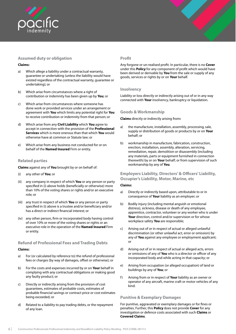<span id="page-8-0"></span>

# **Assumed duty or obligation**

#### **Claims:**

- a) Which allege a liability under a contractual warranty, guarantee or undertaking (unless the liability would have existed regardless of the contractual warranty, guarantee or undertaking); or
- b) Which arise from circumstances where a right of contribution or indemnity has been given up by **You**; or
- c) Which arise from circumstances where someone has done work or provided services under an arrangement or agreement with **You** which limits any potential right for **You**  to receive contribution or indemnity from that person; or
- d) Which arise from any **Civil Liability** which **You** agree to accept in connection with the provision of the **Professional Services** which is more onerous than that which **You** would otherwise have at common or Statute law; or
- e) Which arise from any business not conducted for or on behalf of the **Named Insured** Firm or entity.

#### **Related parties**

**Claims** against any of **You** brought by or on behalf of:

- (i) any other of **You**; or
- (ii) any company in respect of which **You** or any person or party specified in (i) above holds (beneficially or otherwise) more than 10% of the voting shares or rights and/or an executive role; or
- (iii) any trust in respect of which **You** or any person or party specified in (i) above is a trustee and/or beneficiary and/or has a direct or indirect financial interest; or
- (iv) any other person, firm or incorporated body having control of over 10% or more of the voting shares or rights or an executive role in the operation of the **Named Insured** Firm or entity.

#### **Refund of Professional Fees and Trading Debts**

### **Claims:**

- a) For (or calculated by reference to) the refund of professional fees or charges (by way of damages, offset or otherwise); or
- b) For the costs and expenses incurred by or on **Your** behalf in complying with any contractual obligations or making good any faulty product; or
- c) Directly or indirectly arising from the provision of cost guarantees, estimates of probable costs, estimates of probable financial savings or contract price or cost estimates being exceeded; or
- d) Related to a liability to pay trading debts, or the repayment of any loan.

#### **Profit**

Any forgone or un-realised profit. In particular, there is no **Cover**  under this **Policy** for any component of profit which would have been derived or derivable by **You** from the sale or supply of any goods, services or rights by or on **Your** behalf.

#### **Insolvency**

Liability or loss directly or indirectly arising out of or in any way connected with **Your** insolvency, bankruptcy or liquidation.

#### **Goods & Workmanship**

**Claims** directly or indirectly arising from**:**

- a) the manufacture, installation, assembly, processing, sale, supply or distribution of goods or products by or on **Your** behalf; or
- b) workmanship in manufacture, fabrication, construction, erection, installation, assembly, alteration, servicing, remediation, repair, demolition or disassembly (including any materials, parts or equipment furnished in connection therewith) by or on **Your** behalf; or from supervision of such workmanship by any of **You**.

# **Employers Liability, Directors' & Officers' Liability, Occupier's Liability, Motor, Marine, etc**

#### **Claims:**

- a) Directly or indirectly based upon, attributable to or in consequence of **Your** liability as an employer; or
- b) Bodily injury (including mental anguish or emotional distress), sickness, disease or death of any employee, apprentice, contractor, volunteer or any worker who is under **Your** direction, control and/or supervision or for whose workplace safety **You** are responsible;
- c) Arising out of or in respect of actual or alleged unlawful discrimination (or other unlawful act, error or omission) by any of **You** against any employee or employment applicant; or
- d) Arising out of or in respect of actual or alleged acts, errors or omissions of any of **You** who is a director or officer of any incorporated body and while acting in that capacity; or
- e) Arising from occupation (or alleged occupation) of land or buildings by any of **You**; or
- f) Arising from or in respect of **Your** liability as an owner or operator of any aircraft, marine craft or motor vehicles of any kind.

### **Punitive & Exemplary Damages**

For punitive, aggravated or exemplary damages or for fines or penalties. Further, this **Policy** does not provide **Cover** for any investigation or defence costs associated with such **Claims** or **Covered Claims**.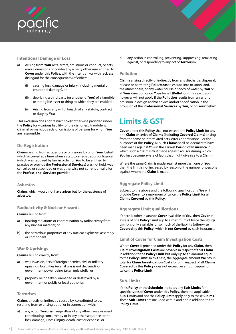<span id="page-9-0"></span>

# **Intentional Damage or Loss**

- a) Arising from **Your** acts, errors, omissions or conduct, or acts, errors, omissions or conduct by a party otherwise entitled to **Cover** under this **Policy,** with the intention (or with reckless disregard for the consequences) of either:
	- (i) causing loss, damage or injury (including mental or emotional damage), or
	- (ii) depriving a third party (or another of **You**) of a tangible or intangible asset or thing to which they are entitled;
	- (iii) Arising from any wilful breach of any statute, contract or duty by **You**.

This exclusion does not restrict **Cover** otherwise provided under the **Policy** for vicarious liability for the dishonest, fraudulent, criminal or malicious acts or omissions of persons for whom **You** are responsible.

### **De-Registration**

**Claims** arising from acts, errors or omissions by or on **Your** behalf which occurred at a time when a statutory registration or licence (which was required by law in order for **You** to be entitled to practice or provide the **Professional Services**) was not held, was cancelled or suspended or was otherwise not current or valid for the **Professional Services** provided.

### **Asbestos**

**Claims** which would not have arisen but for the existence of asbestos.

### **Radioactivity & Nuclear Hazards**

#### **Claims** arising from:

- a) ionising radiations or contamination by radioactivity from any nuclear material; or
- b) the hazardous properties of any nuclear explosive, assembly or component.

### **War & Uprisings**

**Claims** arising directly from:

- a) war, invasion, acts of foreign enemies, civil or military uprisings, hostilities (even if war is not declared), or government power being taken unlawfully; or
- b) property being taken, damaged or destroyed by a government or public or local authority.

### **Terrorism**

**Claims** directly or indirectly caused by, contributed to by, resulting from or arising out of or in connection with:

a) any act of **Terrorism** regardless of any other cause or event contributing concurrently or in any other sequence to the loss, damage, illness, injury, death, cost or expense; or

b) any action in controlling, preventing, suppressing, retaliating against, or responding to any act of **Terrorism**.

# **Pollution**

**Claims** arising directly or indirectly from any discharge, dispersal, release or permitting **Pollutants** to escape into or upon land, the atmosphere, or any water course or body of water by **You** or at **Your** direction or on **Your** behalf (**Pollution**). This exclusion however will not apply if the **Pollution** results from an error or omission in design and/or advice and/or specification in the provision of the **Professional Services** by **You,** or on **Your** behalf.

# **Limits & GST**

**Cover** under this **Policy** shall not exceed the **Policy Limit** for any one **Claim** or series of **Claims** (including **Covered Claims**) arising from the same or interrelated acts, errors or omissions. For the purposes of this **Policy**, all such **Claims** shall be deemed to have been made against **You** in the earliest **Period of Insurance** in which such a **Claim** is first made against **You** (or during which **You** first become aware of facts that might give rise to a **Claim**).

Where the same **Claim** is made against more than one of **You** then the limit is not increased by reason of the number of persons against whom the **Claim** is made.

# **Aggregate Policy Limit**

Subject to the above and the following qualifications, **We** will provide **Cover** to a maximum of twice the **Policy Limit** for all **Claims Covered** by this **Policy**.

# **Aggregate Limit qualifications**

If there is other insurance **Cover** available to **You**, then **Cover** in excess of one **Policy Limit** (up to a maximum of twice the **Policy Limit**) is only available for so much of the liability (otherwise **Covered** by this **Policy**) which is not **Covered** by such insurance.

### **Limit of Cover for Claim Investigation Costs**

Where **Cover** is provided under this **Policy** for any **Claim,** then **Claim Investigation Costs** are payable in respect of that **Claim**  in addition to the **Policy Limit** but only up to an amount equal to the **Policy Limit**. In this case, the aggregate amount **We** pay in total for **Claim Investigation Costs** for or in respect of all **Claims Covered** by this **Policy** does not exceed an amount equal to twice the **Policy Limit**.

### **Sub-Limits**

If this **Policy** or the **Schedule** indicates any **Sub-Limits** for specific types of **Cover** under this **Policy**, then the applicable **Sub-Limits** and not the **Policy Limit** apply only to these **Claims**. These **Sub-Limits** are included within and not in addition to the **Policy Limit**.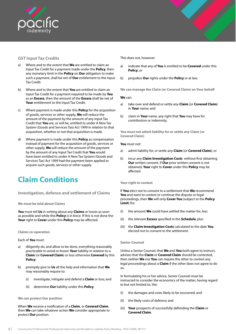<span id="page-10-0"></span>

### **GST Input Tax Credits**

- a) Where and to the extent that **We** are entitled to claim an Input Tax Credit for a payment made under the **Policy**, then any monetary limit in the **Policy** on **Our** obligation to make such a payment, shall be net of **Our** entitlement to the Input Tax Credit.
- b) Where and to the extent that **You** are entitled to claim an Input Tax Credit for a payment required to be made by **You**  as an **Excess**, then the amount of the **Excess** shall be net of **Your** entitlement to the Input Tax Credit.
- c) Where payment is made under this **Policy** for the acquisition of goods, services or other supply, **We** will reduce the amount of the payment by the amount of any Input Tax Credit that **You** are, or will be, entitled to under A New Tax System (Goods and Services Tax) Act 1999 in relation to that acquisition, whether or not that acquisition is made.
- d) Where payment is made under this **Policy** as compensation instead of payment for the acquisition of goods, services or other supply, **We** will reduce the amount of the payment by the amount of any Input Tax Credit that **You** would have been entitled to under A New Tax System (Goods and Services Tax) Act 1999 had the payment been applied to acquire such goods, services or other supply.

# **Claim Conditions**

**Investigation, defence and settlement of Claims**

**We must be told about Claims**

**You** must tell **Us** in writing about any **Claims** or losses as soon as possible and while this **Policy** is in force. If this is not done the **Your** right to **Cover** under this **Policy** may be affected.

**Claims co-operation**

Each of **You** must:

- a) diligently do, and allow to be done, everything reasonably practicable to avoid or lessen **Your** liability in relation to a **Claim** (or **Covered Claim**) or loss otherwise **Covered** by this **Policy**;
- b) promptly give to **Us** all the help and information that **We**  may reasonably require to:
	- (i) investigate, mitigate and defend a **Claim** or loss; and
	- (ii) determine **Our** liability under this **Policy**.

#### **We can protect Our position**

When **We** receive a notification of a **Claim**, or **Covered Claim**, then **We** can take whatever action **We** consider appropriate to protect **Our** position.

This does not, however:

- a) indicate that any of **You** is entitled to be **Covered** under this **Policy**; or
- b) prejudice **Our** rights under the **Policy** or at law.

**We can manage the Claim (or Covered Claim) on Your behalf**

#### **We** can:

- a) take over and defend or settle any **Claim** (or **Covered Claim**) in **Your** name; and
- b) claim in **Your** name, any right that **You** may have for contribution or indemnity.

**You must not admit liability for or settle any Claim (or Covered Claim)**

#### **You** must not:

- a) admit liability for, or settle any **Claim** (or **Covered Claim**); or
- b) incur any **Claim Investigation Costs** without first obtaining **Our** written consent. If **Our** prior written consent is not obtained, **Your** right to **Cover** under this **Policy** may be affected.

#### **Your right to contest**

If **You** elect not to consent to a settlement that **We** recommend **You** and want to contest or continue the dispute or legal proceedings, then **We** will only **Cover You** (subject to the **Policy Limit**) for:

- (i) the amount **We** could have settled the matter for; less
- (ii) the relevant **Excess** specified in the **Schedule**; plus
- (iii) the **Claim Investigation Costs** calculated to the date **You**  elected not to consent to the settlement.

#### **Senior Counsel**

Unless a Senior Counsel, that **We** and **You** both agree to instruct, advises that the **Claim** or **Covered Claim** should be contested, then neither **We** nor **You** can require the other to contest any legal proceedings about a **Claim** if the other does not agree to do so.

In formulating his or her advice, Senior Counsel must be instructed to consider the economics of the matter, having regard to but not limited to, the:

- (i) the damages and costs likely to be recovered; and
- (ii) the likely costs of defence; and
- (iii) **Your** prospects of successfully defending the **Claim** or **Covered Claim**.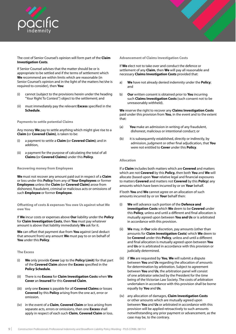

The cost of Senior Counsel's opinion will form part of the **Claim Investigation Costs**.

If Senior Counsel advises that the matter should be or is appropriate to be settled and if the terms of settlement which **We** recommend are within limits which are reasonable (in Senior Counsel's opinion and in the light of the matters he/she is required to consider), then **You**:

- (i) cannot (subject to the provisions herein under the heading "Your Right To Contest") object to the settlement; and
- (ii) must immediately pay the relevant **Excess** specified in the **Schedule**.

#### **Payments to settle potential Claims**

Any money **We** pay to settle anything which might give rise to a **Claim (**or **Covered Claim)**, is taken to be:

- (i) a payment to settle a **Claim (**or **Covered Claim)**; and in addition,
- (ii) a payment for the purpose of calculating the total of all **Claims (**or **Covered Claims)** under this **Policy**.

#### **Recovering money from Employees**

**We** must not recover any amount paid out in respect of a **Claim**  or loss under this **Policy** from any of **Your Employees** or former **Employees** unless the **Claim (**or **Covered Claim)** arose from dishonest, fraudulent, criminal or malicious acts or omissions of such **Employee** or former **Employee**.

**Offsetting of costs & expenses You owe Us against what We owe You**

If **We** incur costs or expenses above **Our** liability under the **Policy**  for **Claim Investigation Costs**, then **You** must pay whatever amount is above that liability immediately **We** ask for it.

**We** can offset that payment due from **You** against (and deduct that amount from) any amount **We** must pay to or on behalf of **You** under this **Policy**.

#### **The Excess**

- (i) **We** only provide **Cover** (up to the **Policy Limit**) for that part of the **Covered Claim** above the **Excess** specified in the **Policy Schedule**.
- (ii) There is no **Excess** for **Claim Investigation Costs** when **We Cover** an **Insured** for this **Covered Claim**.
- (iii) only one **Excess** is payable for all **Covered Claims** or losses **Covered** by this **Policy** arising from the one act, error or omission.
- (iv) in the event of a **Claim**, **Covered Claim** or loss arising from separate acts, errors or omissions, then one **Excess** shall apply in respect of each such **Claim**, **Covered Claim** or loss.

**Advancement of Claims Investigation Costs**

If **We** elect not to take over and conduct the defence or settlement of any **Claim**, then **We** will pay all reasonable and necessary **Claims Investigation Costs** provided that:

- a) **We** have not already denied indemnity under the **Policy**; and
- b) **Our** written consent is obtained prior to **You** incurring such **Claims Investigation Costs** (such consent not to be unreasonably withheld).

**We** reserve the right to recover any **Claims Investigation Costs**  paid under this provision from **You**, in the event and to the extent that:

- (a) **You** make an admission in writing of any fraudulent, dishonest, malicious or intentional conduct; or
- (b) it is subsequently established, directly or indirectly, by admission, judgment or other final adjudication, that **You**  were not entitled to **Cover** under this **Policy**.

#### **Allocation**

If a **Claim** includes both matters which are **Covered** and matters which are not **Covered** by this **Policy,** then both **You** and **We** will allocate (based upon **Your** relative legal and financial exposures to matters **Covered** and matters not **Covered** by this **Policy**) any amounts which have been incurred by or on **Your** behalf.

If both **You** and **We** cannot agree on an allocation of such amounts incurred by or on **Your** behalf then:

- (i) **We** will advance such portion of the **Defence and investigation Costs** which **We** deem to be **Covered** under this **Policy**, unless and until a different and final allocation is mutually agreed upon between **You and Us** or is arbitrated in accordance with this provision.
- (ii) **We** may, in **Our** sole discretion, pay amounts (other than amounts for **Claim Investigation Costs**) which **We** deem to be **Covered** under this **Policy**, unless and until a different and final allocation is mutually agreed upon between **You**  and **Us** or is arbitrated in accordance with this provision or judicially determined.
- (iii) if **We** are requested by **You**, **We** will submit a dispute between **You** and **Us** regarding the allocation of amounts for determination by arbitration. Subject to agreement between **You** and **Us**, the arbitration panel will consist of one arbitrator selected by the President for the time being of the Victorian Law Society. The costs of arbitration undertaken in accordance with this provision shall be borne equally by **You** and **Us**.
- (iv) any allocation of damages, **Claim Investigation Costs** or other amounts which are mutually agreed upon between **You** and **Us** or arbitrated in accordance with this provision will be applied retroactively to such amounts notwithstanding any prior payment or advancement, as the case may be, to the contrary.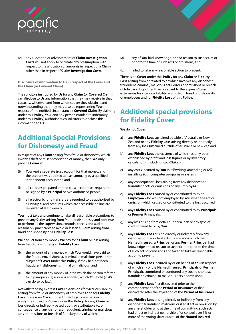<span id="page-12-0"></span>

(v) any allocation or advancement of **Claim Investigation Costs** will not apply to or create any presumption with respect to the allocation of amounts in respect of a **Claim,**  other than in respect of **Claim Investigation Costs**.

**Disclosure of information to Us in respect of the Cover and the Claim (or Covered Claim)**

The solicitors instructed by **Us** for any **Claim** (or **Covered Claim**) can disclose to **Us** any information that they may receive in that capacity, wherever and from whomsoever they obtain it and notwithstanding that they may also be representing **You** in respect of the notified circumstance / **Covered Claim**. By claiming under this **Policy**, **You** (and any person entitled to indemnity under this **Policy**) authorise such solicitors to disclose this information to **Us**.

# **Additional Special Provisions for Dishonesty and Fraud**

In respect of any **Claim** arising from fraud or dishonesty which involves theft or misappropriation of money, then **We** only provide **Cover** if:

- (i) **You** kept a separate trust account for that money, and the account was audited at least annually by a qualified independent accountant; and
- (ii) all cheques prepared on that trust account are required to be signed by a **Principal** or two authorised people;
- (iii) all electronic fund transfers are required to be authorised by a **Principal** and accounts which are accessible on line are reviewed at least weekly.

**You** must take and continue to take all reasonable precautions to prevent any **Claim** arising from fraud or dishonesty and continue to perform all the supervision, controls, checks and audits reasonably practicable to avoid or lessen a **Claim** arising from fraud or dishonesty or a **Fidelity Loss.**

**We** deduct from any money **We** pay for a **Claim** or loss arising from fraud or dishonesty or **Fidelity Loss:**

- (i) the amount of any money which **You** would have paid to the fraudulent, dishonest, criminal or malicious person the subject of **Cover** under this **Policy**, if they had not been fraudulent, dishonest, criminal or malicious; and
- (ii) the amount of any money of, or to which the person referred to in paragraph (a) above is entitled, which **You** hold (if **We**  can do so by law).

Notwithstanding express **Cover** extensions for vicarious liability arising from fraud or dishonesty of employees and for **Fidelity Loss**, there is no **Cover** under this **Policy** to any person or entity the subject of **Cover** under this **Policy**, for any **Claim** or loss directly or indirectly based upon, or attributable to, or in consequence of any dishonest, fraudulent, criminal or malicious acts or omissions or breach of fiduciary duty of which:

- (a) any of **You** had knowledge, or had reason to suspect, at or prior to the time of such acts or omissions; and
- (b) failed to take any reasonable action to prevent.

There is no **Cover** under this **Policy** for any **Claim** or **Fidelity Loss** arising from or related to or which involves any dishonest, fraudulent, criminal, malicious acts, errors or omissions or breach of fiduciary duty other than pursuant to the express **Cover** extensions for vicarious liability arising from fraud or dishonesty of employees and for **Fidelity Loss** of this **Policy**.

# **Additional special provisions for Fidelity Cover**

**We** do not **Cover**:

- a) any **Fidelity Loss** sustained outside of Australia or New Zealand or any **Fidelity Loss** arising directly or indirectly from any loss sustained outside of Australia or new Zealand.
- b) any **Fidelity Loss** the existence of which has only been established by profit and loss figures or by inventory calculations (including stock takes).
- c) any costs incurred by **You** in re‐writing, amending or re‐ installing **Your** computer programs or systems.
- d) any consequential loss arising from any dishonest or fraudulent acts or omissions of any **Employee.**
- e) any **Fidelity Loss** caused by or contributed to by an **Employee** who was not employed by **You** when the act or omission which caused or contributed to the loss occurred.
- f) any **Fidelity Loss** caused by or contributed to by **Principals**  or **Former Principals**.
- g) any loss arising from default under a loan or any type of credit offered to or by **You**.
- h) any **Fidelity Loss** arising directly or indirectly from any dishonest or fraudulent acts or omissions which the **Named Insured,** a **Principal** or any **Former Principal** had knowledge or had reason to suspect at or prior to the time of such acts or omissions and failed to take all reasonable action to prevent.
- i) any **Fidelity Loss** incurred by or on behalf of **You** in respect of which any of the **Named Insured, Principals** or **Former Principals** committed or condoned any such dishonest, fraudulent, criminal or malicious acts or omissions.
- j) any **Fidelity Loss** first discovered prior to the commencement of the **Period of Insurance** or first discovered after the expiration of the **Period of Insurance**.
- k) any **Fidelity Loss** arising directly or indirectly from any dishonest, fraudulent, malicious or illegal act or omission by any shareholder who at the time of committing such acts had direct or indirect ownership of or control over 5% or more of the voting share capital of the **Named Insured**.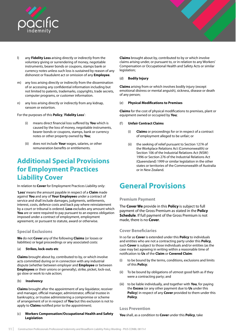<span id="page-13-0"></span>

- l) any **Fidelity Loss** arising directly or indirectly from the voluntary giving or surrendering of money, negotiable instruments, bearer bonds or coupons, stamps bank or currency notes unless such loss is sustained by reason of any dishonest or fraudulent act or omission of any **Employee**.
- m) any loss arising directly or indirectly from the dissemination of or accessing any confidential information including but not limited to patents, trademarks, copyrights, trade secrets, computer programs, or customer information.
- n) any loss arising directly or indirectly from any kidnap, ransom or extortion.

For the purposes of this **Policy**, '**Fidelity Loss**':

- (i) means direct financial loss suffered by **You** which is caused by the loss of money, negotiable instruments, bearer bonds or coupons, stamps, bank or currency notes or other property owned by **You**;
- (ii) does not include **Your** wages, salaries, or other remuneration benefits or entitlements.

# **Additional Special Provisions for Employment Practices Liability Cover**

In relation to **Cover** for Employment Practices Liability only:

'**Loss**' means the amount payable in respect of a **Claim** made against **You** and any of **Your Employees** under a contract of service and shall include damages, judgments, settlements, interest, costs, defence costs and back pay where reinstatement by a court or tribunal is ordered. **Loss** excludes any amount which **You** are or were required to pay pursuant to an express obligation imposed under a contract of employment, employment agreement, or pursuant to statute, award or otherwise.

# **Special Exclusions**

**We** do not **Cover** any of the following **Claims** (or losses or liabilities) or legal proceedings or any associated costs:

#### (a) **Strikes, lock-outs etc**

**Claims** brought about by, contributed to by, or which involve acts committed during or in connection with any industrial dispute (whether between employer and **Employee** or between **Employees** or their unions or generally), strike, picket, lock-out, go slow or work to rule action;

#### (b) **Insolvency**

**Claims** brought after the appointment of any liquidator, receiver and manager, official manager, administrator, official trustee in bankruptcy, or trustee administering a compromise or scheme of arrangement of or in respect of **You** but this exclusion is not to apply to **Claims** notified prior to the appointment;

#### (c) **Workers Compensation/Occupational Health and Safety Legislation**

**Claims** brought about by, contributed to by or which involve claims arising under, or pursuant to, or in relation to any Workers' Compensation or Occupational Health and Safety Acts or similar legislation;

#### (d) **Bodily Injury**

**Claims** arising from or which involves bodily injury (except emotional distress or mental anguish), sickness, disease or death of any person;

#### (e) **Physical Modifications to Premises**

**Claims** for the cost of physical modifications to premises, plant or equipment owned or occupied by **You**;

#### (f) **Unfair Contract Claims**

- (i) **Claims** or proceedings for or in respect of a contract of employment alleged to be unfair; or
- (ii) the seeking of relief pursuant to Section 127A of the Workplace Relations Act (Commonwealth) or Section 106 of the Industrial Relations Act (NSW) 1996 or Section 276 of the Industrial Relations Act (Queensland) 1999 or similar legislation in the other states or territories of the Commonwealth of Australia or in New Zealand.

# **General Provisions**

### **Premium Payment**

The **Cover We** provide in this **Policy** is subject to full payment of the Gross Premium as stated in the **Policy Schedule**. If full payment of the Gross Premium is not made, there is no **Cover**.

### **Cover Beneficiaries**

In so far as **Cover** is extended under this **Policy** to individuals and entities who are not a contracting party under this **Policy**, such **Cover** is subject to those individuals and/or entities (as the case may be) agreeing in writing within a reasonable time of notification to **Us** of the **Claim** or **Covered Claim**:

- (i) to be bound by the terms, conditions, exclusions and limits of this **Policy**;
- (ii) To be bound by obligations of utmost good faith as if they were a contracting party; and
- (iii) to be liable individually, and together with **You**, for paying the **Excess** (or any other payment due to **Us** under this **Policy**) in respect of any **Cover** provided to them under this **Policy**.

### **Loss Prevention**

**You** shall, as a condition to **Cover** under this **Policy**, take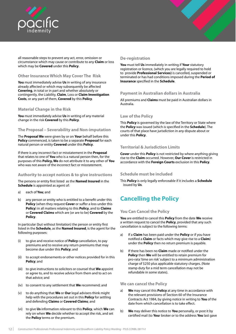<span id="page-14-0"></span>

all reasonable steps to prevent any act, error, omission or circumstance which may cause or contribute to any **Claim** or loss which may be **Covered** under this **Policy**.

# **Other Insurance Which May Cover The Risk**

**You** must immediately advise **Us** in writing of any insurance already affected or which may subsequently be affected **Covering**, in total or in part and whether absolutely or contingently, the Liability, **Claim**, Loss or **Claim Investigation Costs**, or any part of them, **Covered** by this **Policy**.

# **Material Change in the Risk**

**You** must immediately advise **Us** in writing of any material change in the risk **Covered** by this **Policy**.

# **The Proposal – Severability and Non-imputation**

The **Proposal We** were given by or on **Your** behalf before this **Policy** commenced, is taken to be a separate **Proposal** for each natural person or entity **Covered** under this **Policy**.

If there is any incorrect fact or misstatement in the **Proposal**  that relates to one of **You** who is a natural person then, for the purposes of this **Policy, We** do not attribute it to any other of **You** who was not aware of the incorrect fact or misstatement.

# **Authority to accept notices & to give instructions**

The persons or entity first listed as the **Named Insured** in the **Schedule** is appointed as agent of:

- a) each of **You**; and
- b) any person or entity who is entitled to a benefit under this **Policy** (when they request **Cover** or suffer a loss under this **Policy**) in all matters relating to this **Policy**, and to **Claims**  or **Covered Claims** which are (or are to be) **Covered** by the **Policy**.

In particular (but without limitation) the person or entity first listed in the **Schedule**, as the **Named Insured**, is the agent for the following purposes:

- (i) to give and receive notice of **Policy** cancellation, to pay premiums and to receive any return premiums that may become due under this **Policy**; and
- (ii) to accept endorsements or other notices provided for in this **Policy**; and
- (iii) to give instructions to solicitors or counsel that **We** appoint or agree to, and to receive advice from them and to act on that advice; and
- (iv) to consent to any settlement that **We** recommend; and
- (v) to do anything that **We** or **Our** legal advisers think might help with the procedures set out in this **Policy** for settling and defending **Claims** or **Covered Claims**; and
- (vi) to give **Us** information relevant to this **Policy**, which **We** can rely on when **We** decide whether to accept the risk, and set the **Policy** terms or the premium.

# **De-registration**

**You** must tell **Us** immediately in writing if **Your** statutory registration or licence, (which you are legally required to hold to provide **Professional Services)** is cancelled, suspended or terminated or has had conditions imposed during the **Period of Insurance** specified in the **Schedule**.

### **Payment in Australian dollars in Australia**

All premiums and **Claims** must be paid in Australian dollars in Australia.

### **Law of the Policy**

This **Policy** is governed by the law of the Territory or State where the **Policy** was issued (which is specified in the **Schedule**). The courts of that place have jurisdiction in any dispute about or under this **Policy**.

# **Territorial & Jurisdiction Limits**

**Cover** under this **Policy** is not restricted by where anything giving rise to the **Claim** occurred. However, **Our Cover** is restricted in accordance with the **Foreign Courts** exclusion in this **Policy**.

### **Schedule must be included**

This **Policy** is only legally enforceable if it includes a **Schedule** issued by **Us**.

# **Cancelling the Policy**

### **You Can Cancel the Policy**

**You** are entitled to cancel this **Policy** from the date **We** receive a written request to cancel the **Policy**, provided that any such cancellation is subject to the following terms:

- a) If a **Claim** has been paid under the **Policy** or if you have notified a **Claim** or facts which may give rise to a **Claim**) under the **Policy** then no return premium is payable.
- b) If there has been no **Claim** made or notified under the **Policy** then **We** will be entitled to retain premium for pro-rata 'time on risk' subject to a minimum administration charge of \$250 plus applicable statutory charges. (Note stamp duty for a mid term cancellation may not be refundable in some states).

### **We can cancel the Policy**

- a) **We** may cancel this **Policy** at any time in accordance with the relevant provisions of Section 60 of the Insurance Contracts Act 1984, by giving notice in writing to **You** of the date from which cancellation is to take effect.
- b) **We** may deliver this notice to **You** personally, or post it by certified mail (to **You**r broker or to the address **You** last gave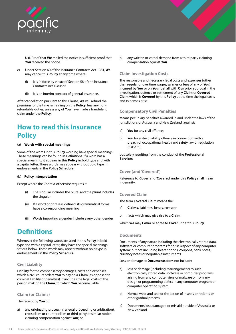<span id="page-15-0"></span>

**Us**). Proof that **We** mailed the notice is sufficient proof that **You** received the notice.

- c) Under Section 60 of the Insurance Contracts Act 1984, **We**  may cancel this **Policy** at any time where:
	- (i) it is in force by virtue of Section 58 of the Insurance Contracts Act 1984; or
	- (ii) it is an interim contract of general insurance.

After cancellation pursuant to this Clause, **We** will refund the premium for the time remaining on the **Policy**, less any nonrefundable duties, unless any of **You** have made a fraudulent claim under the **Policy**.

# **How to read this Insurance Policy**

#### (a) **Words with special meanings**

Some of the words in this **Policy** wording have special meanings. These meanings can be found in Definitions. If a word has a special meaning, it appears in this **Policy** in bold type and with a capital letter. These words may appear without bold type in endorsements in the **Policy Schedule**.

#### (b) **Policy Interpretation**

Except where the Context otherwise requires it:

- The singular includes the plural and the plural includes the singular
- (ii) If a word or phrase is defined, its grammatical forms have a corresponding meaning
- (iii) Words importing a gender include every other gender

# **Definitions**

Whenever the following words are used in this **Policy** in bold type and with a capital letter, they have the special meanings set out below. These words may appear without bold type in endorsements in the **Policy Schedule**.

# **Civil Liability**

Liability for the compensatory damages, costs and expenses which a civil court orders **You** to pay on a **Claim** (as opposed to criminal liability or penalties). It includes the legal costs of the person making the **Claim**, for which **You** become liable.

### **Claim (or Claims)**

The receipt by **You** of:

a) any originating process (in a legal proceeding or arbitration), cross claim or counter claim or third party or similar notice claiming compensation against **You**; or

b) any written or verbal demand from a third party claiming compensation against **You**.

# **Claim Investigation Costs**

The reasonable and necessary legal costs and expenses (other than regular or overtime wages, salaries or fees of any of **You**) incurred by **You** or on **Your** behalf with **Our** prior approval in the investigation, defence or settlement of any **Claim** or **Covered Claim** which is **Covered** by this **Policy** at the time the legal costs and expenses arise.

#### **Compensatory Civil Penalties**

Means pecuniary penalties awarded in and under the laws of the jurisdictions of Australia and New Zealand, against:

- a) **You** for any civil offence;
- b) **You** for a strict liability offence in connection with a breach of occupational health and safety law or regulation ("OH&S"),

but solely resulting from the conduct of the **Professional Services**.

### **Cover (and 'Covered')**

Reference to '**Cover**' and '**Covered**' under this **Policy** shall mean indemnity.

### **Covered Claim**

The term **Covered Claim** means the:

- a) **Claims**, liabilities, losses, costs; or
- b) facts which may give rise to a **Claim**

which **We** may **Cover** or agree to **Cover** under this **Policy**.

#### **Documents**

Documents of any nature including the electronically stored data, software or computer programs for or in respect of any computer system; but not including bearer bonds, coupons, bank notes, currency notes or negotiable instruments.

Loss or damage to **Documents** does not include:

- a) loss or damage (including rearrangement) to such electronically stored data, software or computer programs arising from any computer virus or malware or from any design or programming defect in any computer program or computer operating system.
- b) Normal wear and tear or the action of insects or rodents or other gradual process.
- c) Documents lost, damaged or mislaid outside of Australia or New Zealand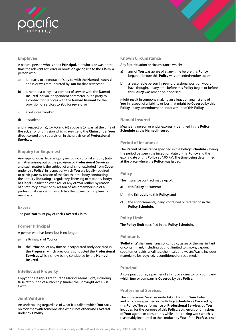<span id="page-16-0"></span>

# **Employee**

A natural person who is not a **Principal**, but who is or was, at the time the relevant act, error or omission giving rise to the **Claim**, a person who:

- a) is a party to a contract of service with the **Named Insured**  and is or was remunerated by **You** for that service; or
- b) is neither a party to a contract of service with the **Named Insured**, nor an independent contractor, but a party to a contract for services with the **Named Insured** for the provision of services to **You** for reward; or
- c) a volunteer worker,
- d) a student

and in respect of (a), (b), (c) and (d) above is (or was) at the time of the act, error or omission which gave rise to the **Claim** under **Your**  direct control and supervision in the provision of **Professional Services**.

### **Enquiry (or Enquiries)**

Any legal or quasi legal enquiry including coronial enquiry (into a matter arising out of the provision of **Professional Services** and such matter is the subject of and is not excluded from **Cover** under this **Policy**) in respect of which **You** are legally required to participate by reason of the fact that the body conducting the enquiry (including a regulatory, licensing or statutory body) has legal jurisdiction over **You** or any of **You** (either by reason of a statutory power or by reason of **Your** membership of a professional association which has the power to discipline its members.

#### **Excess**

The part **You** must pay of each **Covered Claim**.

#### **Former Principal**

A person who has been, but is no longer:

- a) a **Principal** of **You**; or
- b) the **Principal** of any firm or incorporated body declared in the **Proposal**, which previously conducted the **Professional Services** which is now being conducted by the **Named Insured**.

#### **Intellectual Property**

Copyright, Design, Patent, Trade Mark or Moral Right, including false attribution of authorship (under the Copyright Act 1968 Cwlth).

#### **Joint Venture**

An undertaking (regardless of what it is called) which **You** carry on together with someone else who is not otherwise **Covered**  under this **Policy**.

#### **Known Circumstance**

Any fact, situation or circumstance which:

- a) any of **You** was aware of at any time before this **Policy**  began or before this **Policy** was amended/endorsed; or
- b) a reasonable person in **Your** professional position would have thought, at any time before this **Policy** began or before this **Policy** was amended/endorsed,

might result in someone making an allegation against any of **You** in respect of a liability or loss that might be **Covered** by this **Policy** or any amendment or endorsement of this **Policy**.

### **Named Insured**

Means any person or entity expressly identified in the **Policy Schedule** as the **Named Insured**

#### **Period of Insurance**

The **Period of Insurance** specified in the **Policy Schedule** – being the period between the inception date of this **Policy** and the expiry date of this **Policy** at 4.00 PM. The time being determined at the place where the **Policy** was issued.

#### **Policy**

The insurance contract made up of:

- a) this **Policy** document;
- b) the **Schedule** to this **Policy**; and
- c) the endorsements, if any, contained or referred to in the **Policy Schedule**.

#### **Policy Limit**

The **Policy limit** specified in the **Policy Schedule**.

#### **Pollutants**

'**Pollutants**' shall mean any solid, liquid, gases or thermal irritant or contaminant, including but not limited to smoke, vapour, soot, fumes, acids, alkalines, chemicals and waste. Waste includes material to be recycled, reconditioned or reclaimed.

### **Principal**

A sole practitioner, a partner of a firm, or a director of a company, which firm or company is **Covered** by this **Policy**.

#### **Professional Services**

The Professional Services undertaken by or on **Your** behalf and which are specified in the **Policy Schedule** as **Covered** by this **Policy**. The performance of **Professional Services** by **You** includes, for the purpose of this **Policy**, acts, errors or omissions of **Your** agents or consultants while undertaking work which is reasonably incidental to the conduct by **You** of the **Professional**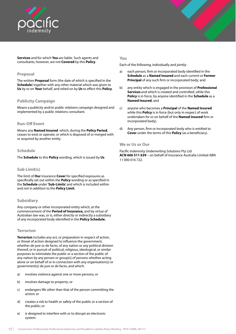<span id="page-17-0"></span>



#### **Proposal**

The written **Proposal** form (the date of which is specified in the **Schedule**) together with any other material which was given to **Us** by or on **Your** behalf, and relied on by **Us** to effect this **Policy**.

### **Publicity Campaign**

Means a publicity and/or public relations campaign designed and implemented by a public relations consultant.

#### **Run-Off Event**

Means any **Named Insured** which, during the **Policy Period**, ceases to exist or operate, or which is disposed of or merged with or acquired by another entity.

#### **Schedule**

The **Schedule** to this **Policy** wording, which is issued by **Us**

### **Sub Limit(s)**

The limit of **Our** insurance **Cover** for specified exposures as specifically set out within the **Policy** wording or as specified in the **Schedule** under '**Sub-Limits**' and which is included within and not in addition to the **Policy Limit**.

### **Subsidiary**

Any company or other incorporated entity which, at the commencement of the **Period of Insurance,** and by virtue of Australian law was, or is, either directly or indirectly a subsidiary of any incorporated body identified in the **Policy Schedule.**

#### **Terrorism**

**Terrorism** includes any act, or preparation in respect of action, or threat of action designed to influence the government, whether de jure or de facto, of any nation or any political division thereof, or in pursuit of political, religious, ideological, or similar purposes to intimidate the public or a section of the public of any nation by any person or group(s) of persons whether acting alone or on behalf of or in connection with any organisation(s) or government(s) de jure or de facto, and which:

- a) involves violence against one or more persons; or
- b) involves damage to property; or
- c) endangers life other than that of the person committing the action; or
- d) creates a risk to health or safety of the public or a section of the public; or
- e) is designed to interfere with or to disrupt an electronic system.

#### **You**

Each of the following, individually and jointly:

- a) each person, firm or incorporated body identified in the **Schedule** as a **Named Insured** and each current or **Former Principal** of any such firm or incorporated body; and
- b) any entity which is engaged in the provision of **Professional Services** and which is created and controlled, while this **Policy** is in force, by anyone identified in the **Schedule** as a **Named Insured**; and
- c) anyone who becomes a **Principal** of the **Named Insured**  while this **Policy** is in force (but only in respect of work undertaken for or on behalf of the **Named Insured** firm or incorporated body).
- d) Any person, firm or incorporated body who is entitled to **Cover** under the terms of this **Policy** (as a beneficiary).

#### **We or Us or Our**

Pacific Indemnity Underwriting Solutions Pty Ltd **ACN 606 511 639** – on behalf of Insurance Australia Limited ABN 11 000 016 722.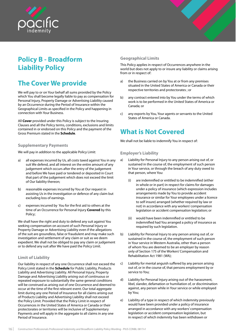<span id="page-18-0"></span>

# **Policy B - Broadform Liability Policy**

# **The Cover We provide**

We will pay to or on Your behalf all sums provided by the Policy which You shall become legally liable to pay as compensation for Personal Injury, Property Damage or Advertising Liability caused by an Occurrence during the Period of Insurance within the Geographical Limits as specified in the Policy and happening in connection with Your Business.

All **Cover** provided under this Policy is subject to the Insuring Clauses and all the Policy terms, conditions, exclusions and limits contained in or endorsed on this Policy and the payment of the Gross Premium stated in the **Schedule**.

#### **Supplementary Payments**

We will pay in addition to the applicable Policy Limit:

- a) all expenses incurred by Us, all costs taxed against You in any suit We defend, and all interest on the entire amount of any judgement which occurs after the entry of the judgement and before We have paid or tendered or deposited in Court that part of the judgement which does not exceed the limit of Our liability thereon;
- b) reasonable expenses incurred by You at Our request in assisting Us in the investigation or defence of any claim but excluding loss of earnings.
- c) expenses incurred by You for the first aid to others at the time of an Occurrence for Personal Injury **Covered** by this Policy;

We shall have the right and duty to defend any suit against You seeking compensation on account of such Personal Injury or Property Damage or Advertising Liability even if the allegations of the suit are groundless, false or fraudulent and may make such investigation and settlement of any claim or suit as we deem expedient. We shall not be obliged to pay any claim or judgement or to defend any suit after We have paid the Policy Limit.

# **Limit of Liability**

Our liability in respect of any one Occurrence shall not exceed the Policy Limit stated in the **Schedule** for Public Liability, Products Liability and Advertising Liability. All Personal Injury, Property Damage and Advertising Liability arising out of continuous or repeated exposure to substantially the same general conditions will be construed as arising out of one Occurrence and deemed to occur at the time of the first relevant event. Our total aggregate limit during any one Period of Insurance for all claims arising out of Products Liability and Advertising Liability shall not exceed the Policy Limit. Provided that the Policy Limit in respect of Occurrences in the United States of America or Canada or their protectorates or territories will be inclusive of Supplementary Payments and will apply in the aggregate to all claims in any one Period of Insurance.

# **Geographical Limits**

This Policy applies in respect of Occurrences anywhere in the world but does not apply to or insure any liability or claims arising from or in respect of:

- a) the Business carried on by You at or from any premises situated in the United States of America or Canada or their respective territories and protectorates ; or
- b) any contract entered into by You under the terms of which work is to be performed in the United States of America or Canada; or
- c) any exports by You, Your agents or servants to the United States of America or Canada.

# **What is Not Covered**

We shall not be liable to indemnify You in respect of:

#### **Employer's Liability**

- a) Liability for Personal Injury to any person arising out of, or sustained in the course of, the employment of such person in Your service, or through the breach of any duty owed to that person, where You:
	- (i) are indemnified or entitled to be indemnified (either in whole or in part) in respect for claims for damages under a policy of insurance (which expression includes arrangements made by You to provide accident insurance or similar for Your employees under a licence to self insure) arranged (whether required by law or not) in accordance with any workers' compensation legislation or accident compensation legislation; or
	- (ii) would have been indemnified or entitled to be indemnified had You arranged a policy of insurance as required by such legislation.
- b) Liability for Personal Injury to any person arising out of, or sustained in the course of, the employment of such person in Your service in Western Australia, other than a person of whom You are deemed to be an employer by reason only of Section 175 of the Workers' Compensation and Rehabilitation Act 1981 (WA);
- c) Liability for mental anguish suffered by any person arising out of, or in the course of, that persons employment by or service to You;
- d) Liability for Personal Injury arising out of the harassment, libel, slander, defamation or humiliation of, or discrimination against, any person while in Your service or while employed by You;
- e) Liability of a type in respect of which indemnity previously would have been provided under a policy of insurance arranged in accordance with any workers' compensation legislation or accident compensation legislation, but in respect of which indemnity has been withdrawn or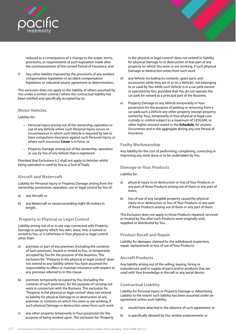<span id="page-19-0"></span>

reduced as a consequence of a change to the scope, terms, provisions, or requirements of such legislation made after the commencement of the current Period of Insurance; and

f) Any other liability imposed by the provisions of any workers compensation legislation or accident compensation legislation or industrial award, agreement or determination.

This exclusion does not apply to the liability of others assumed by You under a written contract where the contractual liability has been notified and specifically accepted by Us.

### **Motor Vehicles**

Liability for:

- Personal Injury arising out of the ownership, operation or use of any Vehicle where such Personal Injury occurs in circumstances in which such Vehicle is required by law to have compulsory insurance against such Personal Injury, or where such insurance **Cover** is in force; or
- Property Damage arising out of the ownership, operation or use by You of any Vehicle that is registered.

Provided that Exclusions 6.2 shall not apply to Vehicles whilst being operated or used by You as a Tool of Trade.

### **Aircraft and Watercraft**

Liability for Personal Injury or Property Damage arising from the ownership, possession, operation, use or legal control by You of:

- a) any Aircraft; or
- b) any Watercraft or vessel exceeding eight (8) metres in length.

# **Property in Physical or Legal Control**

Liability arising out of or in any way connected with Property Damage to property which You own, lease, hire, is loaned or rented to You, or is otherwise in Your physical or legal control other than:

- a) premises or part of any premises (including the contents of such premises), leased or rented to You, or temporarily occupied by You for the purpose of the Business, This exclusion for "Property in the physical or legal control" does not extend to any liability where You have assumed the responsibility to effect or maintain insurance with respect to any premises referred to In this clause
- b) premises temporarily occupied by You (including the contents of such premises), for the purpose of carrying out work in connection with the Business. This exclusion for "Property in the physical or legal control" does not extend to liability for physical Damage to or destruction of any premises or contents on which You were or are working, if such physical Damage or destruction arises from such work
- c) any other property temporarily in Your possession for the purpose of being worked upon. This exclusion for "Property

in the physical or legal control" does not extend to liability for physical Damage to or destruction of that part of any property on which You were or are working, if such physical Damage or destruction arises from such work

- d) any Vehicle (including its contents, spare parts and accessories while they are in or on a Vehicle), not belonging to or used by You while such Vehicle is in a car park owned or operated by You, provided that You do not operate the car park for reward as a principal part of the Business
- e) Property Damage to any Vehicle temporarily In Your possession for the purpose of parking or removing from a car park such a Vehicle any other property (except property owned by You), temporarily in Your physical or legal care, custody or control subject to a maximum of \$250,000, or other higher amount stated in the **Schedule**, for anyone Occurrence and in the aggregate during any one Period of Insurance.

# **Faulty Workmanship**

Any liability for the cost of performing, completing, correcting or improving any work done or to be undertaken by You.

### **Damage to Your Products**

Liability for:

- a) physical injury to or destruction or loss of Your Products or any part of those Products arising out of them or any part of them;
- b) loss of use of any tangible property caused by physical injury to or destruction or loss of Your Products or any part of those Products arising out of them or any part of them.

This Exclusion does not apply to those Products repaired, serviced or treated by You after such Products were originally sold, supplied or distributed by You.

# **Product Recall and Repair**

Liability for damages claimed for the withdrawal, inspection, repair, replacement or loss of use of Your Products.

### **Aircraft Products**

Any liability arising out of the selling, leasing, hiring or manufacture and/or supply of parts and/or products that are used with Your knowledge in Aircraft or any aerial device.

### **Contractual Liability**

Liability for Personal Injury or Property Damage or Advertising Liability to the extent such liability has been assumed under an agreement unless such liability:

- a) would have attached in the absence of such agreement; or
- b) is specifically allowed by Our written endorsement; or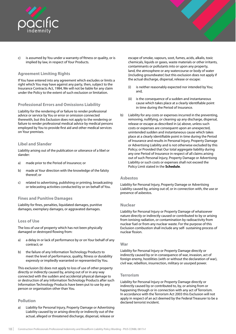<span id="page-20-0"></span>

c) is assumed by You under a warranty of fitness or quality, or is implied by law, in respect of Your Products.

# **Agreement Limiting Rights**

If You have entered into any agreement which excludes or limits a right which You may have against any party, then, subject to the Insurance Contracts Act, 1984, We will not be liable for any claim under the Policy to the extent of such exclusion or limitation.

### **Professional Errors and Omissions Liability**

Liability for the rendering of or failure to render professional advice or service by You or error or omission connected therewith, but this Exclusion does not apply to the rendering or failure to render professional medical advice by medical persons employed by You to provide first aid and other medical services on Your premises.

#### **Libel and Slander**

Liability arising out of the publication or utterance of a libel or slander:

- a) made prior to the Period of Insurance; or
- b) made at Your direction with the knowledge of the falsity thereof; or
- c) related to advertising, publishing or printing, broadcasting or telecasting activities conducted by or on behalf of You.

#### **Fines and Punitive Damages**

Liability for fines, penalties, liquidated damages, punitive damages, exemplary damages, or aggravated damages.

#### **Loss of Use**

The loss of use of property which has not been physically damaged or destroyed flowing from:

- a) a delay in or lack of performance by or on Your behalf of any contract; or
- b) the failure of any Information Technology Products to meet the level of performance, quality, fitness or durability expressly or impliedly warranted or represented by You.

This exclusion (b) does not apply to loss of use of other property directly or indirectly caused by, arising out of or in any way connected with the sudden and accidental physical damage to or destruction of any Information Technology Products after such Information Technology Products have been put to use by any person or organisation other than You.

### **Pollution**

a) Liability for Personal Injury, Property Damage or Advertising Liability caused by or arising directly or indirectly out of the actual, alleged or threatened discharge, dispersal, release or

escape of smoke, vapours, soot, fumes, acids, alkalis, toxic chemicals, liquids or gases, waste materials or other irritants, contaminants or pollutants into or upon any property, land, the atmosphere or any watercourse or body of water (including groundwater) but this exclusion does not apply if the actual discharge, dispersal, release or escape:

- (i) is neither reasonably expected nor intended by You; and,
- is the consequence of a sudden and instantaneous cause which takes place at a clearly identifiable point in time during the Period of Insurance.
- b) Liability for any costs or expenses incurred in the preventing, removing, nullifying, or cleaning up any discharge, dispersal, release or escape as described in (a) above, unless such costs or expenses are consequent upon an unexpected, unintended sudden and instantaneous cause which takes place at a clearly identifiable point in time during the Period of Insurance and results in Personal Injury, Property Damage or Advertising Liability and is not otherwise excluded by this Policy; or Provided that Our total aggregate liability during any one Period of Insurance in respect of all claims arising out of such Personal Injury, Property Damage or Advertising Liability or such costs or expenses shall not exceed the Policy Limit stated in the **Schedule**.

#### **Asbestos**

Liability for Personal Injury, Property Damage or Advertising Liability caused by, arising out of, or in connection with, the use or presence of asbestos.

#### **Nuclear**

Liability for Personal Injury or Property Damage of whatsoever nature directly or indirectly caused or contributed to by or arising from ionising radiation, or contamination by radioactivity from nuclear fuel or from any nuclear waste. For the purpose of this Exclusion combustion shall include any self- sustaining process of nuclear fission.

#### **War**

Liability for Personal Injury or Property Damage directly or indirectly caused by or in consequence of war, invasion, act of foreign enemy, hostilities (with or without the declaration of war), civil war, rebellion, insurrection, military or usurped power.

#### **Terrorism**

Liability for Personal Injury or Property Damage directly or indirectly caused by or contributed to, by, or arising from or happening through or in connection with any act of Terrorism. In accordance with the Terrorism Act 2003 this Exclusion will not apply in respect of an act deemed by the Federal Treasurer to be a declared terrorist incident.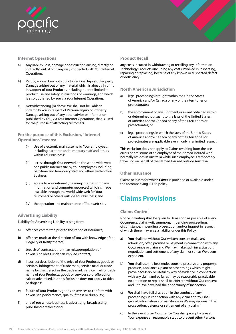<span id="page-21-0"></span>

# **Internet Operations**

- a) Any liability, loss, damage or destruction arising, directly or indirectly, out of or in any way connected with Your Internet Operations.
- b) Part (a) above does not apply to Personal Injury or Property Damage arising out of any material which is already in print in support of Your Products, including but not limited to product use and safety instructions or warnings, and which is also published by You via Your Internet Operations.
- c) Notwithstanding (b) above, We shall not be liable to indemnify You in respect of Personal Injury or Property Damage arising out of any other advice or information published by You, via Your Internet Operations, that is used for the purpose of attracting customers.

# **For the purpose of this Exclusion, "Internet Operations" means:**

- (i) Use of electronic mail systems by Your employees, including part time and temporary staff and others within Your Business;
- (ii) access through Your network to the world wide web or a public internet site by Your employees including part-time and temporary staff and others within Your Business.
- (iii) access to Your intranet (meaning internal company information and computer resources) which is made available through the world wide web for Your customers or others outside Your Business; and
- (iv) the operation and maintenance of Your web-site.

### **Advertising Liability**

Liability for Advertising Liability arising from:

- a) offences committed prior to the Period of Insurance;
- b) offences made at the direction of You with knowledge of the illegality or falsity thereof;
- c) breach of contract, other than misappropriation of advertising ideas under an implied contract;
- d) incorrect description of the price of Your Products, goods or services; infringement of trade mark, service mark or trade name by use thereof as the trade mark, service mark or trade name of Your Products, goods or services sold, offered for sale or advertised, but this Exclusion does not apply to titles or slogans;
- e) failure of Your Products, goods or services to conform with advertised performance, quality, fitness or durability;
- f) any of You whose business is advertising, broadcasting, publishing or telecasting.

# **Product Recall**

any costs incurred in withdrawing or recalling any Information Technology Products (including any costs involved in inspecting, repairing or replacing) because of any known or suspected defect or deficiency.

### **North American Jurisdiction**

- a) legal proceedings brought within the United States of America and/or Canada or any of their territories or protectorates;
- b) the enforcement of any judgment or award obtained within or determined pursuant to the laws of the United States of America and/or Canada or any of their territories or protectorates; or
- c) legal proceedings in which the laws of the United States of America and/or Canada or any of their territories or protectorates are applicable even if only in a limited respect.

This exclusion does not apply to Claims resulting from the acts, errors or omissions of an employee of the Named Insured who normally resides in Australia while such employee is temporarily travelling on behalf of the Named Insured outside Australia.

# **Other Insurance**

Claims or losses for which **Cover** is provided or available under the accompanying ICT/PI policy.

# **Claims Provisions**

### **Claims Control**

Notice in writing shall be given to Us as soon as possible of every Occurrence, claim, writ, summons, impending proceedings, circumstance, impending prosecution and/or inquest in respect of which there may arise a liability under this Policy.

- a) **You** shall not without Our written consent make any admission, offer, promise or payment in connection with any Occurrence or claim and We may make such investigation, negotiation and settlement of any claim or suit as We deem expedient.
- b) **You** shall use the best endeavours to preserve any property, products, appliances, plant or other things which might prove necessary or useful by way of evidence in connection with any claim and so far as may be reasonably practicable no alteration or repair shall be effected without Our consent and until We have had the opportunity of inspection.
- c) **We** shall have full discretion in the conduct of any proceedings in connection with any claim and You shall give all information and assistance as We may require in the prosecution, defence or settlement of any claim.
- d) In the event of an Occurrence, You shall promptly take at Your expense all reasonable steps to prevent other Personal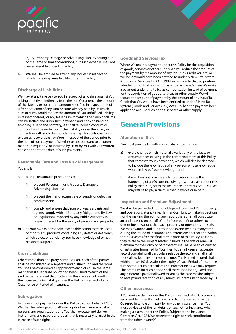<span id="page-22-0"></span>

Injury, Property Damage or Advertising Liability arising out of the same or similar conditions, but such expense shall not be recoverable under this Policy.

e) **We** shall be entitled to attend any inquest in respect of which there may arise liability under this Policy.

# **Discharge of Liabilities**

We may at any time pay to You in respect of all claims against You arising directly or indirectly from the one Occurrence the amount of the liability or such other amount specified in respect thereof (after deduction of any sum or sums already paid by Us which sum or sums would reduce the amount of Our unfulfilled liability in respect thereof) or any lesser sum for which the claim or claims can be settled and upon such payment, and notwithstanding anything else to the contrary, We shall relinquish conduct or control of and be under no further liability under the Policy in connection with such claim or claims except for costs charges or expenses recoverable from You in respect of the period prior to the date of such payment (whether or not pursuant to an order made subsequently) or incurred by Us or by You with Our written consent prior to the date of such payments.

#### **Reasonable Care and Loss Risk Management**

You shall:

- a) take all reasonable precautions to:
	- prevent Personal Injury, Property Damage or Advertising Liability;
	- (ii) prevent the manufacture, sale or supply of defective products; and
	- (iii) comply and ensure that Your workers, servants and agents comply with all Statutory Obligations, By-Laws or Regulations imposed by any Public Authority in respect thereof for the safety of persons and property;
- b) at Your own expense take reasonable action to trace, recall or modify any products containing any defect or deficiency which defect or deficiency You have knowledge of or has reason to suspect.

# **Cross Liabilities**

Where more than one party comprises You each of the parties shall be considered as a separate and distinct unit and the word You shall be considered as applying to each of You in the same manner as if a separate policy had been issued to each of the said parties provided that nothing in this clause shall result in the increase of Our liability under this Policy in respect of any Occurrence or Period of Insurance.

### **Subrogation**

In the event of payment under this Policy to or on behalf of You, We shall be subrogated to all Your rights of recovery against all persons and organisations and You shall execute and deliver instruments and papers and do all that is necessary to assist in the exercise of such rights.

# **Goods and Services Tax**

Where We make a payment under this Policy for the acquisition of goods, services or other supply We will reduce the amount of the payment by the amount of any Input Tax Credit You are, or will be, or would have been entitled to under A New Tax System (Goods and Services Tax) Act 1999, in relation to that acquisition, whether or not that acquisition is actually made. Where We make a payment under this Policy as compensation instead of payment for the acquisition of goods, services or other supply, We will reduce the amount of payment by the amount of any Input Tax Credit that You would have been entitled to under A New Tax System (Goods and Services Tax) Act 1999 had the payment been applied to acquire such goods, services or other supply.

# **General Provisions**

#### **Alteration of Risk**

You must provide Us with immediate written notice of:

- a) every change which materially varies any of the facts or circumstances existing at the commencement of this Policy that comes to Your knowledge, which will also be deemed to include the knowledge of any person whose knowledge would in law be Your knowledge; and
- b) if You does not provide such notification before the happening of an Occurrence giving rise to a claim under this Policy then, subject to the Insurance Contracts Act, 1984, We may refuse to pay a claim, either in whole or in part.

### **Inspection and Premium Adjustment**

We shall be permitted but not obligated to inspect Your property and operations at any time. Neither Our right to make inspections nor the making thereof nor any report thereon shall constitute an undertaking on behalf of or for Your benefit or others, to determine or warrant that such property or operations are safe. We may examine and audit Your books and records at any time during the Period of Insurance and extensions thereof and within three (3) years after the final termination of this Policy, as far as they relate to the subject matter insured. If the first or renewal premium for the Policy or part thereof shall have been calculated on estimates furnished by You, then You shall keep an accurate record containing all particulars relative thereto and shall at all times allow Us to inspect such records. The Named Insured shall within thirty (30) days after the expiry of each Period of Insurance furnish to Us such particulars and information as We may require. The premium for such period shall thereupon be adjusted and any difference paid or allowed to You as the case maybe subject to receipt and retention of any minimum premium charged by Us.

### **Other Insurances**

If You make a claim under this Policy in respect of an Occurrence recoverable under this Policy which Occurrence is or may be **Covered** in whole or in part by any other insurance, then You must advise Us of the full details of such other insurance when making a claim under this Policy. Subject to the Insurance Contracts Act, 1984, We reserve the right to seek contribution from the other insurer(s).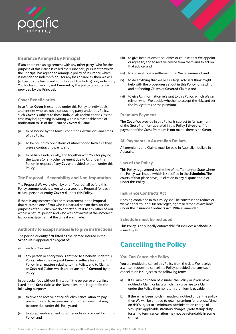<span id="page-23-0"></span>

# **Insurance Arranged By Principal**

If You enter into an agreement with any other party (who for the purpose of this clause is called the "Principal") pursuant to which the Principal has agreed to arrange a policy of insurance which is intended to indemnify You for any loss or liability then We will (subject to the terms and conditions of this Policy) only indemnify You for loss or liability not **Covered** by the policy of insurance provided by the Principal.

### **Cover Beneficiaries**

In so far as **Cover** is extended under this Policy to individuals and entities who are not a contracting party under this Policy, such **Cover** is subject to those individuals and/or entities (as the case may be) agreeing in writing within a reasonable time of notification to Us of the Claim or **Covered** Claim:

- (i) to be bound by the terms, conditions, exclusions and limits of this Policy;
- (ii) To be bound by obligations of utmost good faith as if they were a contracting party; and
- (iii) to be liable individually, and together with You, for paying the Excess (or any other payment due to Us under this Policy) in respect of any **Cover** provided to them under this Policy.

### **The Proposal – Severability and Non-imputation**

The Proposal We were given by or on Your behalf before this Policy commenced, is taken to be a separate Proposal for each natural person or entity **Covered** under this Policy.

If there is any incorrect fact or misstatement in the Proposal that relates to one of You who is a natural person then, for the purposes of this Policy, We do not attribute it to any other of You who is a natural person and who was not aware of the incorrect fact or misstatement at the time it was made.

#### **Authority to accept notices & to give instructions**

The person or entity first listed as the Named Insured in the **Schedule** is appointed as agent of:

- a) each of You; and
- b) any person or entity who is entitled to a benefit under this Policy (when they request **Cover** or suffer a loss under this Policy) in all matters relating to this Policy, and to Claims or **Covered** Claims which are (or are to be) **Covered** by the Policy.

In particular (but without limitation) the person or entity first listed in the **Schedule**, as the Named Insured, is agent for the following purposes:

- (i) to give and receive notice of Policy cancellation, to pay premiums and to receive any return premiums that may become due under this Policy; and
- (ii) to accept endorsements or other notices provided for in this Policy; and
- (iii) to give instructions to solicitors or counsel that We appoint or agree to, and to receive advice from them and to act on that advice; and
- (iv) to consent to any settlement that We recommend; and
- (v) to do anything that We or Our legal advisers think might help with the procedures set out in this Policy for settling and defending Claims or **Covered** Claims; and
- (vi) to give Us information relevant to this Policy, which We can rely on when We decide whether to accept the risk, and set the Policy terms or the premium.

#### **Premium Payment**

The **Cover** We provide in this Policy is subject to full payment of the Gross Premium as stated in the Policy **Schedule**. If full payment of the Gross Premium is not made, there is no **Cover**.

#### **All Payments in Australian Dollars**

All premiums and Claims must be paid in Australian dollars in Australia.

#### **Law of the Policy**

This Policy is governed by the law of the Territory or State where the Policy was issued (which is specified in the **Schedule**). The courts of that place have jurisdiction in any dispute about or under this Policy.

#### **Insurance Contracts Act**

Nothing contained in this Policy shall be construed to reduce or waive either Your or Our privileges, rights or remedies available under the Insurance Contracts Act, 1984 as amended.

#### **Schedule must be included**

This Policy is only legally enforceable if it includes a **Schedule** issued by Us.

# **Cancelling the Policy**

### **You Can Cancel the Policy**

You are entitled to cancel this Policy from the date We receive a written request to cancel the Policy, provided that any such cancellation is subject to the following terms:

- a) If a Claim has been paid under the Policy or if you have notified a Claim or facts which may give rise to a Claim) under the Policy then no return premium is payable.
- b) If there has been no claim made or notified under the policy then We will be entitled to retain premium for pro-rata 'time on risk' subject to a minimum administration charge of \$250 plus applicable statutory charges. (Note stamp duty for a mid term cancellation may not be refundable in some states).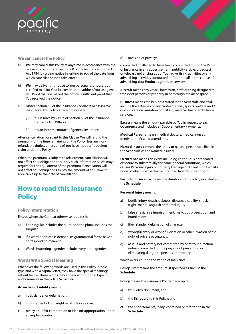<span id="page-24-0"></span>

#### **We can cancel the Policy**

- a) **W**e may cancel this Policy at any time in accordance with the relevant provisions of Section 60 of the Insurance Contracts Act 1984, by giving notice in writing to You of the date from which cancellation is to take effect.
- b) **We** may deliver this notice to You personally, or post it by certified mail (to Your broker or to the address You last gave Us). Proof that We mailed the notice is sufficient proof that You received the notice.
- c) Under Section 60 of the Insurance Contracts Act 1984, We may cancel this Policy at any time where:
	- (i) it is in force by virtue of Section 58 of the Insurance Contracts Act 1984; or
	- (ii) it is an interim contract of general insurance.

After cancellation pursuant to this Clause, We will refund the premium for the time remaining on the Policy, less any nonrefundable duties, unless any of You have made a fraudulent claim under the Policy.

When the premium is subject to adjustment, cancellation will not affect Your obligation to supply such information as We may require for the adjustment of the premium. Cancellation will not affect Your obligations to pay the amount of adjustment applicable up to the date of cancellation.

# **How to read this Insurance Policy**

#### **Policy Interpretation**

Except where the Context otherwise requires it:

- a) The singular includes the plural and the plural includes the singular
- b) If a word or phrase is defined, its grammatical forms have a corresponding meaning
- c) Words importing a gender include every other gender.

### **Words With Special Meaning**

Whenever the following words are used in this Policy in bold type and with a capital letter, they have the special meanings set out below. These words may appear without bold type in endorsements in the Policy **Schedule**.

#### **Advertising Liability** means:

- a) libel, slander or defamation;
- b) infringement of copyright or of title or slogan;
- c) piracy or unfair competition or idea misappropriation under an implied contract;

d) invasion of privacy;

committed or alleged to have been committed during the Period of Insurance in any advertisement, publicity article, broadcast or telecast and arising out of Your advertising activities or any advertising activities conducted on Your behalf in the course of advertising Your Products, goods or services.

**Aircraft** means any vessel, hovercraft, craft or thing designed to transport persons or property in or through the air or space.

**Business** means the business stated in the **Schedule** and shall include the activities of any canteen, social, sports, welfare and / or child care organisation or first aid, medical, fire or ambulance services.

**Excess** means the amount payable by You in respect to each Occurrence and includes all Supplementary Payments.

**Medical Persons** means medical doctors, medical nurses, dentists and first aid attendants.

**Named Insured** means the entity or natural person specified in the **Schedule** as the Named Insured.

**Occurrence** means an event including continuous or repeated exposure to substantially the same general conditions, which causes Personal Injury or Property Damage or Advertising Liability none of which is expected or intended from Your standpoint.

**Period of Insurance** means the duration of this Policy as stated in the **Schedule**.

#### **Personal Injury** means:

- a) bodily injury, death, sickness, disease, disability, shock, fright, mental anguish or mental injury;
- b) false arrest, false imprisonment, malicious prosecution and humiliation;
- c) libel, slander, defamation of character;
- d) wrongful entry or wrongful eviction or other invasion of the right of private occupancy;
- e) assault and battery not committed by or at Your direction unless committed for the purpose of preventing or eliminating danger to persons or property,

which occurs during the Period of Insurance.

**Policy Limit** means the amount(s) specified as such in the **Schedule**.

**Policy** means the insurance Policy made up of:

- a) this Policy document; and
- b) the **Schedule** to this Policy; and
- c) the endorsements, if any, contained or referred to in the **Schedule**.